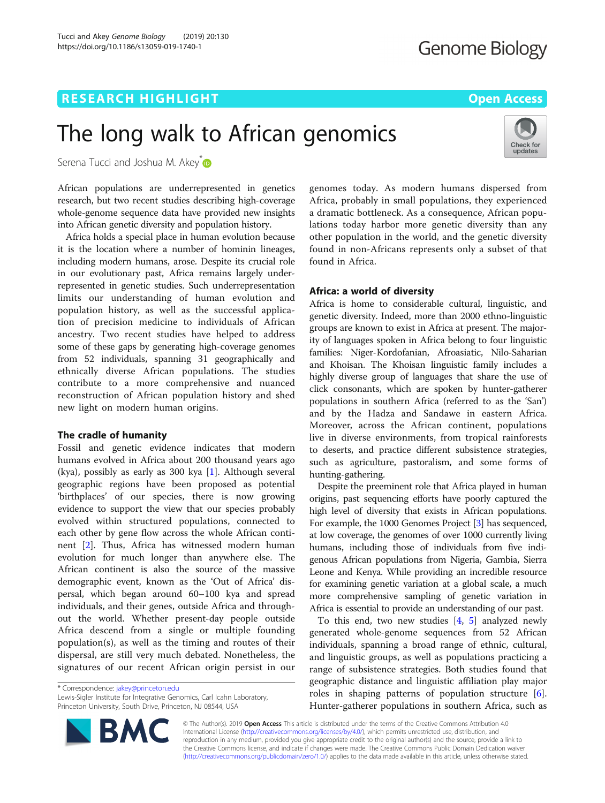## **RESEARCH HIGHLIGHT** THE OPEN ACCESS OPEN ACCESS

# The long walk to African genomics

Serena Tucci and Joshua M. Akey<sup>[\\*](http://orcid.org/0000-0002-4411-1330)</sup>

African populations are underrepresented in genetics research, but two recent studies describing high-coverage whole-genome sequence data have provided new insights into African genetic diversity and population history.

Africa holds a special place in human evolution because it is the location where a number of hominin lineages, including modern humans, arose. Despite its crucial role in our evolutionary past, Africa remains largely underrepresented in genetic studies. Such underrepresentation limits our understanding of human evolution and population history, as well as the successful application of precision medicine to individuals of African ancestry. Two recent studies have helped to address some of these gaps by generating high-coverage genomes from 52 individuals, spanning 31 geographically and ethnically diverse African populations. The studies contribute to a more comprehensive and nuanced reconstruction of African population history and shed new light on modern human origins.

## The cradle of humanity

Fossil and genetic evidence indicates that modern humans evolved in Africa about 200 thousand years ago (kya), possibly as early as 300 kya [\[1](#page-2-0)]. Although several geographic regions have been proposed as potential 'birthplaces' of our species, there is now growing evidence to support the view that our species probably evolved within structured populations, connected to each other by gene flow across the whole African continent [[2\]](#page-2-0). Thus, Africa has witnessed modern human evolution for much longer than anywhere else. The African continent is also the source of the massive demographic event, known as the 'Out of Africa' dispersal, which began around 60–100 kya and spread individuals, and their genes, outside Africa and throughout the world. Whether present-day people outside Africa descend from a single or multiple founding population(s), as well as the timing and routes of their dispersal, are still very much debated. Nonetheless, the signatures of our recent African origin persist in our

\* Correspondence: [jakey@princeton.edu](mailto:jakey@princeton.edu)

Lewis-Sigler Institute for Integrative Genomics, Carl Icahn Laboratory, Princeton University, South Drive, Princeton, NJ 08544, USA

genomes today. As modern humans dispersed from Africa, probably in small populations, they experienced a dramatic bottleneck. As a consequence, African populations today harbor more genetic diversity than any other population in the world, and the genetic diversity found in non-Africans represents only a subset of that found in Africa.

## Africa: a world of diversity

Africa is home to considerable cultural, linguistic, and genetic diversity. Indeed, more than 2000 ethno-linguistic groups are known to exist in Africa at present. The majority of languages spoken in Africa belong to four linguistic families: Niger-Kordofanian, Afroasiatic, Nilo-Saharian and Khoisan. The Khoisan linguistic family includes a highly diverse group of languages that share the use of click consonants, which are spoken by hunter-gatherer populations in southern Africa (referred to as the 'San') and by the Hadza and Sandawe in eastern Africa. Moreover, across the African continent, populations live in diverse environments, from tropical rainforests to deserts, and practice different subsistence strategies, such as agriculture, pastoralism, and some forms of hunting-gathering.

Despite the preeminent role that Africa played in human origins, past sequencing efforts have poorly captured the high level of diversity that exists in African populations. For example, the 1000 Genomes Project [[3\]](#page-2-0) has sequenced, at low coverage, the genomes of over 1000 currently living humans, including those of individuals from five indigenous African populations from Nigeria, Gambia, Sierra Leone and Kenya. While providing an incredible resource for examining genetic variation at a global scale, a much more comprehensive sampling of genetic variation in Africa is essential to provide an understanding of our past.

To this end, two new studies  $[4, 5]$  $[4, 5]$  $[4, 5]$  $[4, 5]$  analyzed newly generated whole-genome sequences from 52 African individuals, spanning a broad range of ethnic, cultural, and linguistic groups, as well as populations practicing a range of subsistence strategies. Both studies found that geographic distance and linguistic affiliation play major roles in shaping patterns of population structure [\[6](#page-2-0)]. Hunter-gatherer populations in southern Africa, such as

© The Author(s). 2019 **Open Access** This article is distributed under the terms of the Creative Commons Attribution 4.0 International License [\(http://creativecommons.org/licenses/by/4.0/](http://creativecommons.org/licenses/by/4.0/)), which permits unrestricted use, distribution, and reproduction in any medium, provided you give appropriate credit to the original author(s) and the source, provide a link to the Creative Commons license, and indicate if changes were made. The Creative Commons Public Domain Dedication waiver [\(http://creativecommons.org/publicdomain/zero/1.0/](http://creativecommons.org/publicdomain/zero/1.0/)) applies to the data made available in this article, unless otherwise stated.



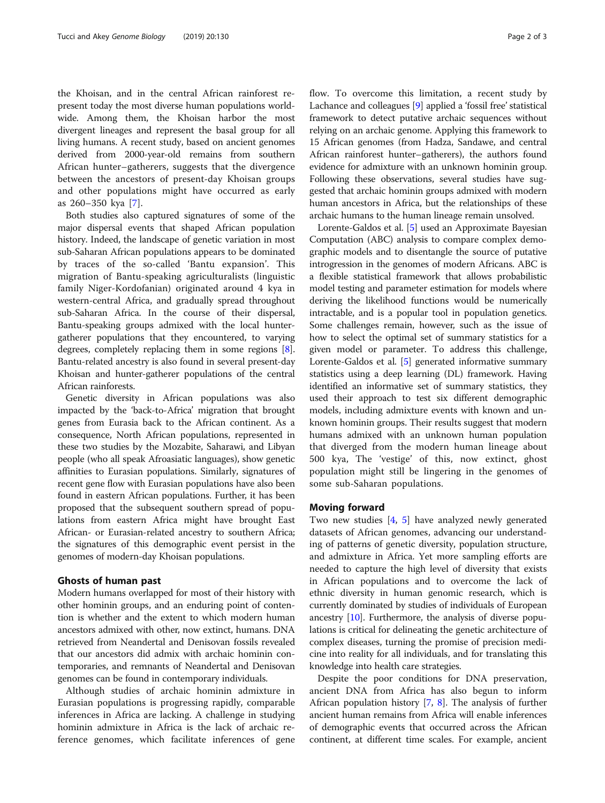the Khoisan, and in the central African rainforest represent today the most diverse human populations worldwide. Among them, the Khoisan harbor the most divergent lineages and represent the basal group for all living humans. A recent study, based on ancient genomes derived from 2000-year-old remains from southern African hunter–gatherers, suggests that the divergence between the ancestors of present-day Khoisan groups and other populations might have occurred as early as 260–350 kya [\[7](#page-2-0)].

Both studies also captured signatures of some of the major dispersal events that shaped African population history. Indeed, the landscape of genetic variation in most sub-Saharan African populations appears to be dominated by traces of the so-called 'Bantu expansion'. This migration of Bantu-speaking agriculturalists (linguistic family Niger-Kordofanian) originated around 4 kya in western-central Africa, and gradually spread throughout sub-Saharan Africa. In the course of their dispersal, Bantu-speaking groups admixed with the local huntergatherer populations that they encountered, to varying degrees, completely replacing them in some regions [[8](#page-2-0)]. Bantu-related ancestry is also found in several present-day Khoisan and hunter-gatherer populations of the central African rainforests.

Genetic diversity in African populations was also impacted by the 'back-to-Africa' migration that brought genes from Eurasia back to the African continent. As a consequence, North African populations, represented in these two studies by the Mozabite, Saharawi, and Libyan people (who all speak Afroasiatic languages), show genetic affinities to Eurasian populations. Similarly, signatures of recent gene flow with Eurasian populations have also been found in eastern African populations. Further, it has been proposed that the subsequent southern spread of populations from eastern Africa might have brought East African- or Eurasian-related ancestry to southern Africa; the signatures of this demographic event persist in the genomes of modern-day Khoisan populations.

### Ghosts of human past

Modern humans overlapped for most of their history with other hominin groups, and an enduring point of contention is whether and the extent to which modern human ancestors admixed with other, now extinct, humans. DNA retrieved from Neandertal and Denisovan fossils revealed that our ancestors did admix with archaic hominin contemporaries, and remnants of Neandertal and Denisovan genomes can be found in contemporary individuals.

Although studies of archaic hominin admixture in Eurasian populations is progressing rapidly, comparable inferences in Africa are lacking. A challenge in studying hominin admixture in Africa is the lack of archaic reference genomes, which facilitate inferences of gene flow. To overcome this limitation, a recent study by Lachance and colleagues [\[9\]](#page-2-0) applied a 'fossil free' statistical framework to detect putative archaic sequences without relying on an archaic genome. Applying this framework to 15 African genomes (from Hadza, Sandawe, and central African rainforest hunter–gatherers), the authors found evidence for admixture with an unknown hominin group. Following these observations, several studies have suggested that archaic hominin groups admixed with modern human ancestors in Africa, but the relationships of these archaic humans to the human lineage remain unsolved.

Lorente-Galdos et al. [\[5](#page-2-0)] used an Approximate Bayesian Computation (ABC) analysis to compare complex demographic models and to disentangle the source of putative introgression in the genomes of modern Africans. ABC is a flexible statistical framework that allows probabilistic model testing and parameter estimation for models where deriving the likelihood functions would be numerically intractable, and is a popular tool in population genetics. Some challenges remain, however, such as the issue of how to select the optimal set of summary statistics for a given model or parameter. To address this challenge, Lorente-Galdos et al. [\[5](#page-2-0)] generated informative summary statistics using a deep learning (DL) framework. Having identified an informative set of summary statistics, they used their approach to test six different demographic models, including admixture events with known and unknown hominin groups. Their results suggest that modern humans admixed with an unknown human population that diverged from the modern human lineage about 500 kya, The 'vestige' of this, now extinct, ghost population might still be lingering in the genomes of some sub-Saharan populations.

#### Moving forward

Two new studies [\[4](#page-2-0), [5\]](#page-2-0) have analyzed newly generated datasets of African genomes, advancing our understanding of patterns of genetic diversity, population structure, and admixture in Africa. Yet more sampling efforts are needed to capture the high level of diversity that exists in African populations and to overcome the lack of ethnic diversity in human genomic research, which is currently dominated by studies of individuals of European ancestry [[10](#page-2-0)]. Furthermore, the analysis of diverse populations is critical for delineating the genetic architecture of complex diseases, turning the promise of precision medicine into reality for all individuals, and for translating this knowledge into health care strategies.

Despite the poor conditions for DNA preservation, ancient DNA from Africa has also begun to inform African population history  $[7, 8]$  $[7, 8]$  $[7, 8]$  $[7, 8]$ . The analysis of further ancient human remains from Africa will enable inferences of demographic events that occurred across the African continent, at different time scales. For example, ancient